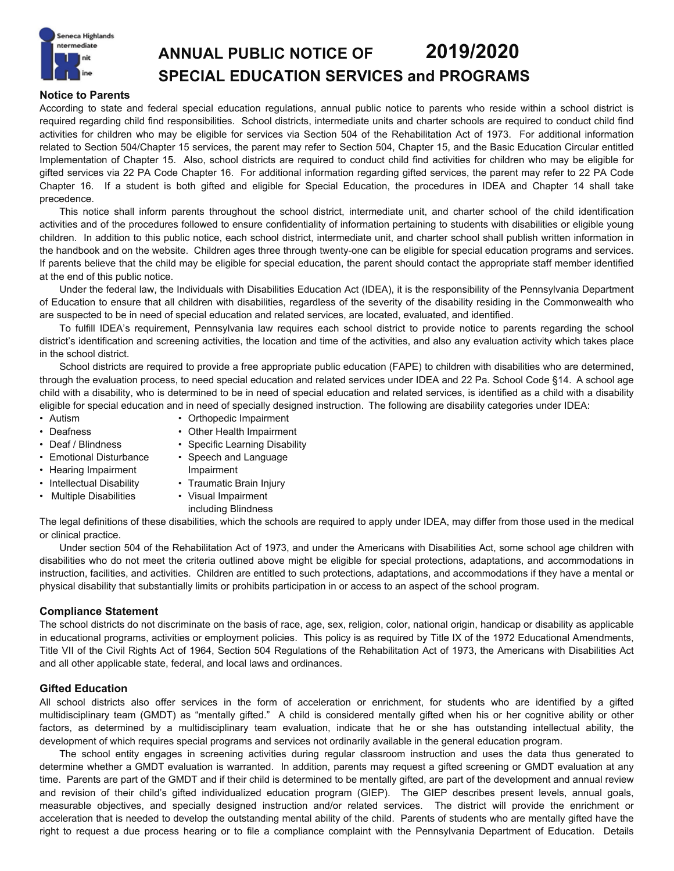

# **ANNUAL PUBLIC NOTICE OF 2019/2020 SPECIAL EDUCATION SERVICES and PROGRAMS**

## **Notice to Parents**

According to state and federal special education regulations, annual public notice to parents who reside within a school district is required regarding child find responsibilities. School districts, intermediate units and charter schools are required to conduct child find activities for children who may be eligible for services via Section 504 of the Rehabilitation Act of 1973. For additional information related to Section 504/Chapter 15 services, the parent may refer to Section 504, Chapter 15, and the Basic Education Circular entitled Implementation of Chapter 15. Also, school districts are required to conduct child find activities for children who may be eligible for gifted services via 22 PA Code Chapter 16. For additional information regarding gifted services, the parent may refer to 22 PA Code Chapter 16. If a student is both gifted and eligible for Special Education, the procedures in IDEA and Chapter 14 shall take precedence.

This notice shall inform parents throughout the school district, intermediate unit, and charter school of the child identification activities and of the procedures followed to ensure confidentiality of information pertaining to students with disabilities or eligible young children. In addition to this public notice, each school district, intermediate unit, and charter school shall publish written information in the handbook and on the website. Children ages three through twenty-one can be eligible for special education programs and services. If parents believe that the child may be eligible for special education, the parent should contact the appropriate staff member identified at the end of this public notice.

Under the federal law, the Individuals with Disabilities Education Act (IDEA), it is the responsibility of the Pennsylvania Department of Education to ensure that all children with disabilities, regardless of the severity of the disability residing in the Commonwealth who are suspected to be in need of special education and related services, are located, evaluated, and identified.

To fulfill IDEA's requirement, Pennsylvania law requires each school district to provide notice to parents regarding the school district's identification and screening activities, the location and time of the activities, and also any evaluation activity which takes place in the school district.

School districts are required to provide a free appropriate public education (FAPE) to children with disabilities who are determined, through the evaluation process, to need special education and related services under IDEA and 22 Pa. School Code §14. A school age child with a disability, who is determined to be in need of special education and related services, is identified as a child with a disability eligible for special education and in need of specially designed instruction. The following are disability categories under IDEA:

- 
- Autism Orthopedic Impairment • Deafness • Other Health Impairment
- 
- Deaf / Blindness Specific Learning Disability
- Emotional Disturbance Speech and Language
- Hearing Impairment Impairment
- Intellectual Disability Traumatic Brain Injury
- Multiple Disabilities Visual Impairment
	- including Blindness

The legal definitions of these disabilities, which the schools are required to apply under IDEA, may differ from those used in the medical or clinical practice.

Under section 504 of the Rehabilitation Act of 1973, and under the Americans with Disabilities Act, some school age children with disabilities who do not meet the criteria outlined above might be eligible for special protections, adaptations, and accommodations in instruction, facilities, and activities. Children are entitled to such protections, adaptations, and accommodations if they have a mental or physical disability that substantially limits or prohibits participation in or access to an aspect of the school program.

# **Compliance Statement**

The school districts do not discriminate on the basis of race, age, sex, religion, color, national origin, handicap or disability as applicable in educational programs, activities or employment policies. This policy is as required by Title IX of the 1972 Educational Amendments, Title VII of the Civil Rights Act of 1964, Section 504 Regulations of the Rehabilitation Act of 1973, the Americans with Disabilities Act and all other applicable state, federal, and local laws and ordinances.

# **Gifted Education**

All school districts also offer services in the form of acceleration or enrichment, for students who are identified by a gifted multidisciplinary team (GMDT) as "mentally gifted." A child is considered mentally gifted when his or her cognitive ability or other factors, as determined by a multidisciplinary team evaluation, indicate that he or she has outstanding intellectual ability, the development of which requires special programs and services not ordinarily available in the general education program.

The school entity engages in screening activities during regular classroom instruction and uses the data thus generated to determine whether a GMDT evaluation is warranted. In addition, parents may request a gifted screening or GMDT evaluation at any time. Parents are part of the GMDT and if their child is determined to be mentally gifted, are part of the development and annual review and revision of their child's gifted individualized education program (GIEP). The GIEP describes present levels, annual goals, measurable objectives, and specially designed instruction and/or related services. The district will provide the enrichment or acceleration that is needed to develop the outstanding mental ability of the child. Parents of students who are mentally gifted have the right to request a due process hearing or to file a compliance complaint with the Pennsylvania Department of Education. Details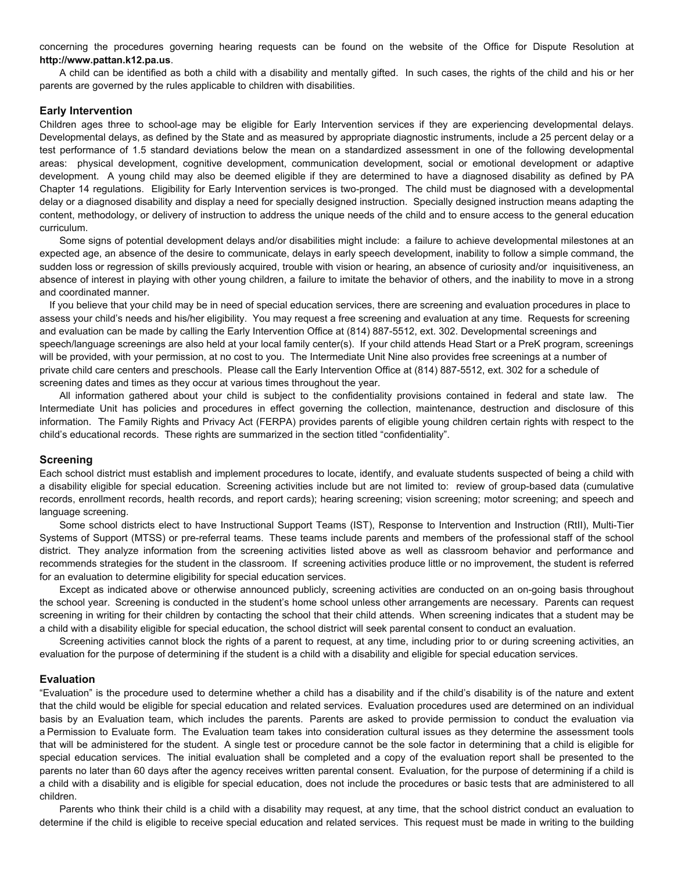concerning the procedures governing hearing requests can be found on the website of the Office for Dispute Resolution at **http://www.pattan.k12.pa.us**.

A child can be identified as both a child with a disability and mentally gifted. In such cases, the rights of the child and his or her parents are governed by the rules applicable to children with disabilities.

#### **Early Intervention**

Children ages three to school-age may be eligible for Early Intervention services if they are experiencing developmental delays. Developmental delays, as defined by the State and as measured by appropriate diagnostic instruments, include a 25 percent delay or a test performance of 1.5 standard deviations below the mean on a standardized assessment in one of the following developmental areas: physical development, cognitive development, communication development, social or emotional development or adaptive development. A young child may also be deemed eligible if they are determined to have a diagnosed disability as defined by PA Chapter 14 regulations. Eligibility for Early Intervention services is two-pronged. The child must be diagnosed with a developmental delay or a diagnosed disability and display a need for specially designed instruction. Specially designed instruction means adapting the content, methodology, or delivery of instruction to address the unique needs of the child and to ensure access to the general education curriculum.

Some signs of potential development delays and/or disabilities might include: a failure to achieve developmental milestones at an expected age, an absence of the desire to communicate, delays in early speech development, inability to follow a simple command, the sudden loss or regression of skills previously acquired, trouble with vision or hearing, an absence of curiosity and/or inquisitiveness, an absence of interest in playing with other young children, a failure to imitate the behavior of others, and the inability to move in a strong and coordinated manner.

If you believe that your child may be in need of special education services, there are screening and evaluation procedures in place to assess your child's needs and his/her eligibility. You may request a free screening and evaluation at any time. Requests for screening and evaluation can be made by calling the Early Intervention Office at (814) 887-5512, ext. 302. Developmental screenings and speech/language screenings are also held at your local family center(s). If your child attends Head Start or a PreK program, screenings will be provided, with your permission, at no cost to you. The Intermediate Unit Nine also provides free screenings at a number of private child care centers and preschools. Please call the Early Intervention Office at (814) 887-5512, ext. 302 for a schedule of screening dates and times as they occur at various times throughout the year.

All information gathered about your child is subject to the confidentiality provisions contained in federal and state law. The Intermediate Unit has policies and procedures in effect governing the collection, maintenance, destruction and disclosure of this information. The Family Rights and Privacy Act (FERPA) provides parents of eligible young children certain rights with respect to the child's educational records. These rights are summarized in the section titled "confidentiality".

#### **Screening**

Each school district must establish and implement procedures to locate, identify, and evaluate students suspected of being a child with a disability eligible for special education. Screening activities include but are not limited to: review of group-based data (cumulative records, enrollment records, health records, and report cards); hearing screening; vision screening; motor screening; and speech and language screening.

Some school districts elect to have Instructional Support Teams (IST), Response to Intervention and Instruction (RtII), Multi-Tier Systems of Support (MTSS) or pre-referral teams. These teams include parents and members of the professional staff of the school district. They analyze information from the screening activities listed above as well as classroom behavior and performance and recommends strategies for the student in the classroom. If screening activities produce little or no improvement, the student is referred for an evaluation to determine eligibility for special education services.

Except as indicated above or otherwise announced publicly, screening activities are conducted on an on-going basis throughout the school year. Screening is conducted in the student's home school unless other arrangements are necessary. Parents can request screening in writing for their children by contacting the school that their child attends.  When screening indicates that a student may be a child with a disability eligible for special education, the school district will seek parental consent to conduct an evaluation.

Screening activities cannot block the rights of a parent to request, at any time, including prior to or during screening activities, an evaluation for the purpose of determining if the student is a child with a disability and eligible for special education services.

#### **Evaluation**

"Evaluation" is the procedure used to determine whether a child has a disability and if the child's disability is of the nature and extent that the child would be eligible for special education and related services. Evaluation procedures used are determined on an individual basis by an Evaluation team, which includes the parents. Parents are asked to provide permission to conduct the evaluation via a Permission to Evaluate form. The Evaluation team takes into consideration cultural issues as they determine the assessment tools that will be administered for the student. A single test or procedure cannot be the sole factor in determining that a child is eligible for special education services. The initial evaluation shall be completed and a copy of the evaluation report shall be presented to the parents no later than 60 days after the agency receives written parental consent. Evaluation, for the purpose of determining if a child is a child with a disability and is eligible for special education, does not include the procedures or basic tests that are administered to all children.

Parents who think their child is a child with a disability may request, at any time, that the school district conduct an evaluation to determine if the child is eligible to receive special education and related services. This request must be made in writing to the building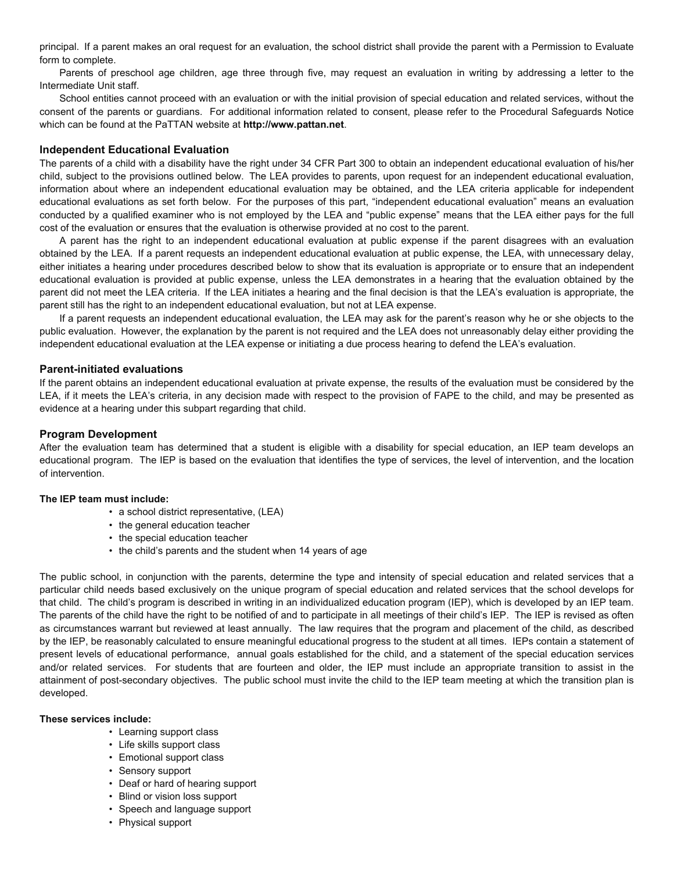principal. If a parent makes an oral request for an evaluation, the school district shall provide the parent with a Permission to Evaluate form to complete.

Parents of preschool age children, age three through five, may request an evaluation in writing by addressing a letter to the Intermediate Unit staff.

School entities cannot proceed with an evaluation or with the initial provision of special education and related services, without the consent of the parents or guardians. For additional information related to consent, please refer to the Procedural Safeguards Notice which can be found at the PaTTAN website at **http://www.pattan.net**.

### **Independent Educational Evaluation**

The parents of a child with a disability have the right under 34 CFR Part 300 to obtain an independent educational evaluation of his/her child, subject to the provisions outlined below. The LEA provides to parents, upon request for an independent educational evaluation, information about where an independent educational evaluation may be obtained, and the LEA criteria applicable for independent educational evaluations as set forth below. For the purposes of this part, "independent educational evaluation" means an evaluation conducted by a qualified examiner who is not employed by the LEA and "public expense" means that the LEA either pays for the full cost of the evaluation or ensures that the evaluation is otherwise provided at no cost to the parent.

A parent has the right to an independent educational evaluation at public expense if the parent disagrees with an evaluation obtained by the LEA. If a parent requests an independent educational evaluation at public expense, the LEA, with unnecessary delay, either initiates a hearing under procedures described below to show that its evaluation is appropriate or to ensure that an independent educational evaluation is provided at public expense, unless the LEA demonstrates in a hearing that the evaluation obtained by the parent did not meet the LEA criteria. If the LEA initiates a hearing and the final decision is that the LEA's evaluation is appropriate, the parent still has the right to an independent educational evaluation, but not at LEA expense.

If a parent requests an independent educational evaluation, the LEA may ask for the parent's reason why he or she objects to the public evaluation. However, the explanation by the parent is not required and the LEA does not unreasonably delay either providing the independent educational evaluation at the LEA expense or initiating a due process hearing to defend the LEA's evaluation.

## **Parent-initiated evaluations**

If the parent obtains an independent educational evaluation at private expense, the results of the evaluation must be considered by the LEA, if it meets the LEA's criteria, in any decision made with respect to the provision of FAPE to the child, and may be presented as evidence at a hearing under this subpart regarding that child.

## **Program Development**

After the evaluation team has determined that a student is eligible with a disability for special education, an IEP team develops an educational program. The IEP is based on the evaluation that identifies the type of services, the level of intervention, and the location of intervention.

### **The IEP team must include:**

- a school district representative, (LEA)<br>• the general education teacher
- 
- 
- the special education teacher<br>• the child's parents and the student when 14 years of age

The public school, in conjunction with the parents, determine the type and intensity of special education and related services that a particular child needs based exclusively on the unique program of special education and related services that the school develops for that child. The child's program is described in writing in an individualized education program (IEP), which is developed by an IEP team. The parents of the child have the right to be notified of and to participate in all meetings of their child's IEP. The IEP is revised as often as circumstances warrant but reviewed at least annually. The law requires that the program and placement of the child, as described by the IEP, be reasonably calculated to ensure meaningful educational progress to the student at all times. IEPs contain a statement of present levels of educational performance, annual goals established for the child, and a statement of the special education services and/or related services. For students that are fourteen and older, the IEP must include an appropriate transition to assist in the attainment of post-secondary objectives. The public school must invite the child to the IEP team meeting at which the transition plan is developed.

### **These services include:**

- Learning support class
- Life skills support class
- Emotional support class
- Sensory support
- Deaf or hard of hearing support
- Blind or vision loss support
- Speech and language support Physical support
-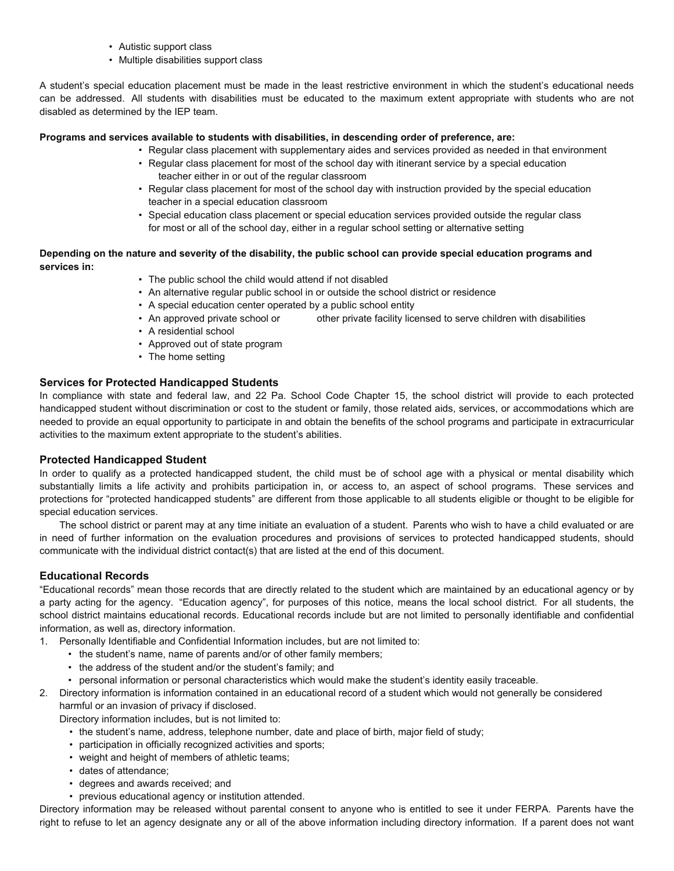- Autistic support class
- Multiple disabilities support class

A student's special education placement must be made in the least restrictive environment in which the student's educational needs can be addressed. All students with disabilities must be educated to the maximum extent appropriate with students who are not disabled as determined by the IEP team.

## **Programs and services available to students with disabilities, in descending order of preference, are:**

- Regular class placement with supplementary aides and services provided as needed in that environment
- Regular class placement for most of the school day with itinerant service by a special education teacher either in or out of the regular classroom
- Regular class placement for most of the school day with instruction provided by the special education teacher in a special education classroom
- Special education class placement or special education services provided outside the regular class for most or all of the school day, either in a regular school setting or alternative setting

## **Depending on the nature and severity of the disability, the public school can provide special education programs and services in:**

- The public school the child would attend if not disabled
- An alternative regular public school in or outside the school district or residence
- A special education center operated by a public school entity
- An approved private school or other private facility licensed to serve children with disabilities
- A residential school
- Approved out of state program
- The home setting

# **Services for Protected Handicapped Students**

In compliance with state and federal law, and 22 Pa. School Code Chapter 15, the school district will provide to each protected handicapped student without discrimination or cost to the student or family, those related aids, services, or accommodations which are needed to provide an equal opportunity to participate in and obtain the benefits of the school programs and participate in extracurricular activities to the maximum extent appropriate to the student's abilities.

# **Protected Handicapped Student**

In order to qualify as a protected handicapped student, the child must be of school age with a physical or mental disability which substantially limits a life activity and prohibits participation in, or access to, an aspect of school programs. These services and protections for "protected handicapped students" are different from those applicable to all students eligible or thought to be eligible for special education services.

The school district or parent may at any time initiate an evaluation of a student. Parents who wish to have a child evaluated or are in need of further information on the evaluation procedures and provisions of services to protected handicapped students, should communicate with the individual district contact(s) that are listed at the end of this document.

# **Educational Records**

"Educational records" mean those records that are directly related to the student which are maintained by an educational agency or by a party acting for the agency. "Education agency", for purposes of this notice, means the local school district. For all students, the school district maintains educational records. Educational records include but are not limited to personally identifiable and confidential information, as well as, directory information.

- 1. Personally Identifiable and Confidential Information includes, but are not limited to:
	-
	-
	- the student's name, name of parents and/or of other family members;<br>• the address of the student and/or the student's family; and<br>• personal information or personal characteristics which would make the student's identity
- 2. Directory information is information contained in an educational record of a student which would not generally be considered harmful or an invasion of privacy if disclosed.

Directory information includes, but is not limited to:

- the student's name, address, telephone number, date and place of birth, major field of study;
- participation in officially recognized activities and sports;
- weight and height of members of athletic teams;
- dates of attendance;
- 
- degrees and awards received; and<br>• previous educational agency or institution attended.

Directory information may be released without parental consent to anyone who is entitled to see it under FERPA. Parents have the right to refuse to let an agency designate any or all of the above information including directory information. If a parent does not want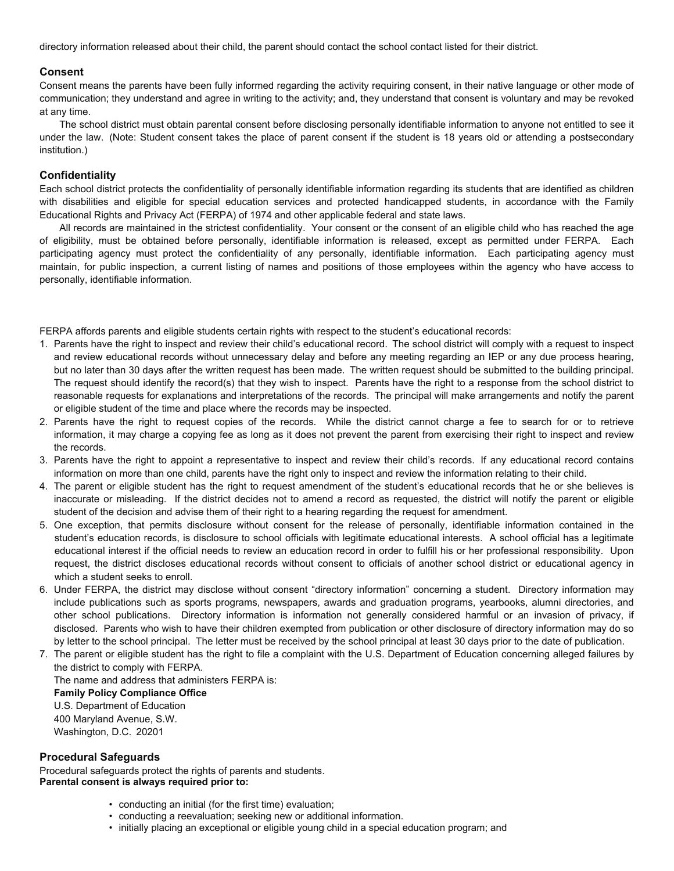directory information released about their child, the parent should contact the school contact listed for their district.

## **Consent**

Consent means the parents have been fully informed regarding the activity requiring consent, in their native language or other mode of communication; they understand and agree in writing to the activity; and, they understand that consent is voluntary and may be revoked at any time.

The school district must obtain parental consent before disclosing personally identifiable information to anyone not entitled to see it under the law. (Note: Student consent takes the place of parent consent if the student is 18 years old or attending a postsecondary institution.)

## **Confidentiality**

Each school district protects the confidentiality of personally identifiable information regarding its students that are identified as children with disabilities and eligible for special education services and protected handicapped students, in accordance with the Family Educational Rights and Privacy Act (FERPA) of 1974 and other applicable federal and state laws.

All records are maintained in the strictest confidentiality. Your consent or the consent of an eligible child who has reached the age of eligibility, must be obtained before personally, identifiable information is released, except as permitted under FERPA. Each participating agency must protect the confidentiality of any personally, identifiable information. Each participating agency must maintain, for public inspection, a current listing of names and positions of those employees within the agency who have access to personally, identifiable information.

FERPA affords parents and eligible students certain rights with respect to the student's educational records:

- 1. Parents have the right to inspect and review their child's educational record. The school district will comply with a request to inspect and review educational records without unnecessary delay and before any meeting regarding an IEP or any due process hearing, but no later than 30 days after the written request has been made. The written request should be submitted to the building principal. The request should identify the record(s) that they wish to inspect. Parents have the right to a response from the school district to reasonable requests for explanations and interpretations of the records.  The principal will make arrangements and notify the parent or eligible student of the time and place where the records may be inspected.
- 2. Parents have the right to request copies of the records. While the district cannot charge a fee to search for or to retrieve information, it may charge a copying fee as long as it does not prevent the parent from exercising their right to inspect and review the records.
- 3. Parents have the right to appoint a representative to inspect and review their child's records. If any educational record contains information on more than one child, parents have the right only to inspect and review the information relating to their child.
- 4. The parent or eligible student has the right to request amendment of the student's educational records that he or she believes is inaccurate or misleading. If the district decides not to amend a record as requested, the district will notify the parent or eligible student of the decision and advise them of their right to a hearing regarding the request for amendment.
- 5. One exception, that permits disclosure without consent for the release of personally, identifiable information contained in the student's education records, is disclosure to school officials with legitimate educational interests. A school official has a legitimate educational interest if the official needs to review an education record in order to fulfill his or her professional responsibility. Upon request, the district discloses educational records without consent to officials of another school district or educational agency in which a student seeks to enroll.
- 6. Under FERPA, the district may disclose without consent "directory information" concerning a student. Directory information may include publications such as sports programs, newspapers, awards and graduation programs, yearbooks, alumni directories, and other school publications. Directory information is information not generally considered harmful or an invasion of privacy, if disclosed. Parents who wish to have their children exempted from publication or other disclosure of directory information may do so by letter to the school principal. The letter must be received by the school principal at least 30 days prior to the date of publication.
- 7. The parent or eligible student has the right to file a complaint with the U.S. Department of Education concerning alleged failures by the district to comply with FERPA. The name and address that administers FERPA is: **Family Policy Compliance Office** U.S. Department of Education 400 Maryland Avenue, S.W. Washington, D.C. 20201

### **Procedural Safeguards**

Procedural safeguards protect the rights of parents and students. **Parental consent is always required prior to:**

- conducting an initial (for the first time) evaluation;
- conducting a reevaluation; seeking new or additional information.
- initially placing an exceptional or eligible young child in a special education program; and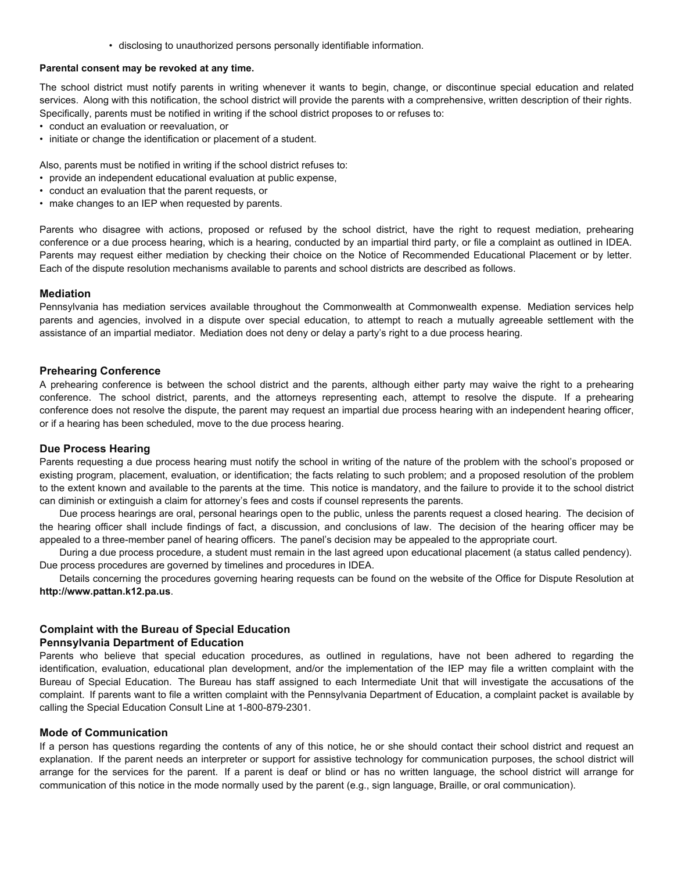• disclosing to unauthorized persons personally identifiable information.

# **Parental consent may be revoked at any time.**

The school district must notify parents in writing whenever it wants to begin, change, or discontinue special education and related services. Along with this notification, the school district will provide the parents with a comprehensive, written description of their rights. Specifically, parents must be notified in writing if the school district proposes to or refuses to:

• conduct an evaluation or reevaluation, or

• initiate or change the identification or placement of a student.

Also, parents must be notified in writing if the school district refuses to:

- provide an independent educational evaluation at public expense, conduct an evaluation that the parent requests, or
- 
- make changes to an IEP when requested by parents.

Parents who disagree with actions, proposed or refused by the school district, have the right to request mediation, prehearing conference or a due process hearing, which is a hearing, conducted by an impartial third party, or file a complaint as outlined in IDEA. Parents may request either mediation by checking their choice on the Notice of Recommended Educational Placement or by letter. Each of the dispute resolution mechanisms available to parents and school districts are described as follows.

### **Mediation**

Pennsylvania has mediation services available throughout the Commonwealth at Commonwealth expense. Mediation services help parents and agencies, involved in a dispute over special education, to attempt to reach a mutually agreeable settlement with the assistance of an impartial mediator. Mediation does not deny or delay a party's right to a due process hearing.

### **Prehearing Conference**

A prehearing conference is between the school district and the parents, although either party may waive the right to a prehearing conference. The school district, parents, and the attorneys representing each, attempt to resolve the dispute. If a prehearing conference does not resolve the dispute, the parent may request an impartial due process hearing with an independent hearing officer, or if a hearing has been scheduled, move to the due process hearing.

### **Due Process Hearing**

Parents requesting a due process hearing must notify the school in writing of the nature of the problem with the school's proposed or existing program, placement, evaluation, or identification; the facts relating to such problem; and a proposed resolution of the problem to the extent known and available to the parents at the time. This notice is mandatory, and the failure to provide it to the school district can diminish or extinguish a claim for attorney's fees and costs if counsel represents the parents.

Due process hearings are oral, personal hearings open to the public, unless the parents request a closed hearing. The decision of the hearing officer shall include findings of fact, a discussion, and conclusions of law. The decision of the hearing officer may be appealed to a three-member panel of hearing officers. The panel's decision may be appealed to the appropriate court.

During a due process procedure, a student must remain in the last agreed upon educational placement (a status called pendency). Due process procedures are governed by timelines and procedures in IDEA.

Details concerning the procedures governing hearing requests can be found on the website of the Office for Dispute Resolution at **http://www.pattan.k12.pa.us**.

# **Complaint with the Bureau of Special Education**

### **Pennsylvania Department of Education**

Parents who believe that special education procedures, as outlined in regulations, have not been adhered to regarding the identification, evaluation, educational plan development, and/or the implementation of the IEP may file a written complaint with the Bureau of Special Education. The Bureau has staff assigned to each Intermediate Unit that will investigate the accusations of the complaint. If parents want to file a written complaint with the Pennsylvania Department of Education, a complaint packet is available by calling the Special Education Consult Line at 1-800-879-2301.

## **Mode of Communication**

If a person has questions regarding the contents of any of this notice, he or she should contact their school district and request an explanation. If the parent needs an interpreter or support for assistive technology for communication purposes, the school district will arrange for the services for the parent. If a parent is deaf or blind or has no written language, the school district will arrange for communication of this notice in the mode normally used by the parent (e.g., sign language, Braille, or oral communication).